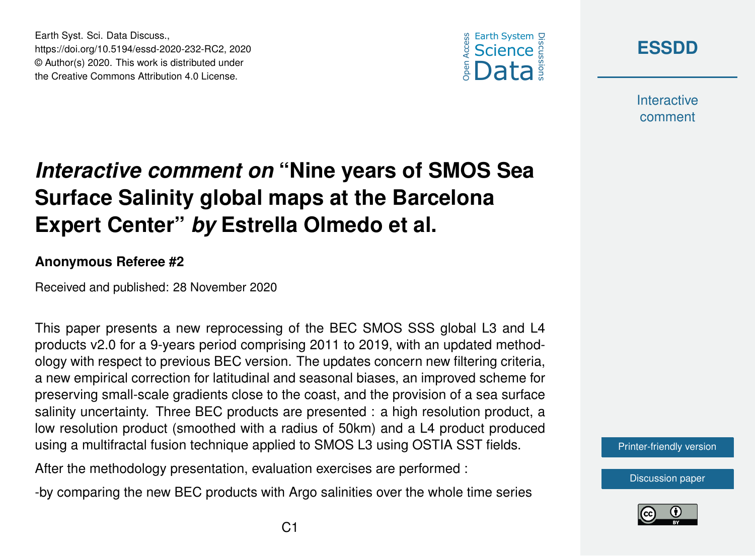





**Interactive** comment

## *Interactive comment on* **"Nine years of SMOS Sea Surface Salinity global maps at the Barcelona Expert Center"** *by* **Estrella Olmedo et al.**

## **Anonymous Referee #2**

Received and published: 28 November 2020

This paper presents a new reprocessing of the BEC SMOS SSS global L3 and L4 products v2.0 for a 9-years period comprising 2011 to 2019, with an updated methodology with respect to previous BEC version. The updates concern new filtering criteria, a new empirical correction for latitudinal and seasonal biases, an improved scheme for preserving small-scale gradients close to the coast, and the provision of a sea surface salinity uncertainty. Three BEC products are presented : a high resolution product, a low resolution product (smoothed with a radius of 50km) and a L4 product produced using a multifractal fusion technique applied to SMOS L3 using OSTIA SST fields.

After the methodology presentation, evaluation exercises are performed :

-by comparing the new BEC products with Argo salinities over the whole time series



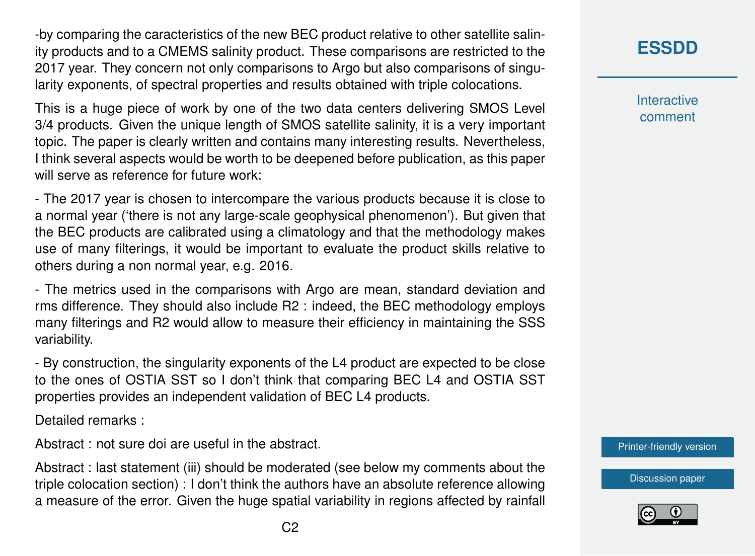-by comparing the caracteristics of the new BEC product relative to other satellite salinity products and to a CMEMS salinity product. These comparisons are restricted to the 2017 year. They concern not only comparisons to Argo but also comparisons of singularity exponents, of spectral properties and results obtained with triple colocations.

This is a huge piece of work by one of the two data centers delivering SMOS Level 3/4 products. Given the unique length of SMOS satellite salinity, it is a very important topic. The paper is clearly written and contains many interesting results. Nevertheless, I think several aspects would be worth to be deepened before publication, as this paper will serve as reference for future work:

- The 2017 year is chosen to intercompare the various products because it is close to a normal year ('there is not any large-scale geophysical phenomenon'). But given that the BEC products are calibrated using a climatology and that the methodology makes use of many filterings, it would be important to evaluate the product skills relative to others during a non normal year, e.g. 2016.

- The metrics used in the comparisons with Argo are mean, standard deviation and rms difference. They should also include R2 : indeed, the BEC methodology employs many filterings and R2 would allow to measure their efficiency in maintaining the SSS variability.

- By construction, the singularity exponents of the L4 product are expected to be close to the ones of OSTIA SST so I don't think that comparing BEC L4 and OSTIA SST properties provides an independent validation of BEC L4 products.

Detailed remarks :

Abstract : not sure doi are useful in the abstract.

Abstract : last statement (iii) should be moderated (see below my comments about the triple colocation section) : I don't think the authors have an absolute reference allowing a measure of the error. Given the huge spatial variability in regions affected by rainfall

**[ESSDD](https://essd.copernicus.org/preprints/)**

**Interactive** comment

[Printer-friendly version](https://essd.copernicus.org/preprints/essd-2020-232/essd-2020-232-RC2-print.pdf)

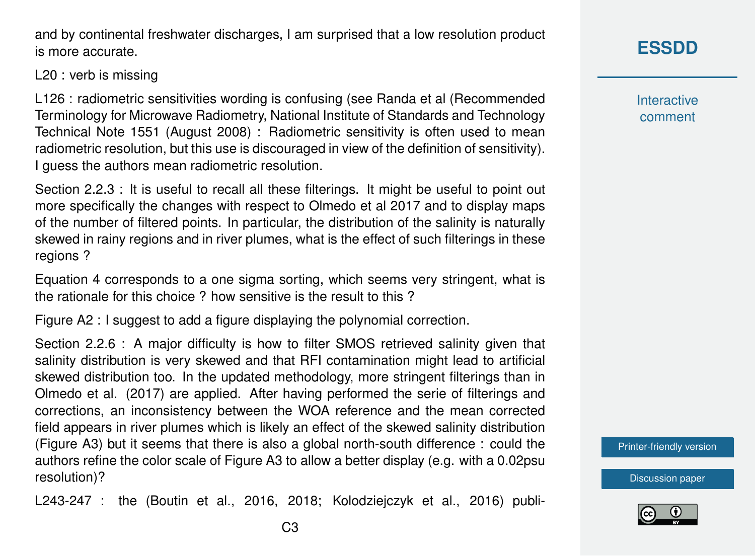C3

and by continental freshwater discharges, I am surprised that a low resolution product is more accurate.

L20 : verb is missing

L126 : radiometric sensitivities wording is confusing (see Randa et al (Recommended Terminology for Microwave Radiometry, National Institute of Standards and Technology Technical Note 1551 (August 2008) : Radiometric sensitivity is often used to mean radiometric resolution, but this use is discouraged in view of the definition of sensitivity). I guess the authors mean radiometric resolution.

Section 2.2.3 : It is useful to recall all these filterings. It might be useful to point out more specifically the changes with respect to Olmedo et al 2017 and to display maps of the number of filtered points. In particular, the distribution of the salinity is naturally skewed in rainy regions and in river plumes, what is the effect of such filterings in these regions ?

Equation 4 corresponds to a one sigma sorting, which seems very stringent, what is the rationale for this choice ? how sensitive is the result to this ?

Figure A2 : I suggest to add a figure displaying the polynomial correction.

Section 2.2.6 : A major difficulty is how to filter SMOS retrieved salinity given that salinity distribution is very skewed and that RFI contamination might lead to artificial skewed distribution too. In the updated methodology, more stringent filterings than in Olmedo et al. (2017) are applied. After having performed the serie of filterings and corrections, an inconsistency between the WOA reference and the mean corrected field appears in river plumes which is likely an effect of the skewed salinity distribution (Figure A3) but it seems that there is also a global north-south difference : could the authors refine the color scale of Figure A3 to allow a better display (e.g. with a 0.02psu resolution)?

L243-247 : the (Boutin et al., 2016, 2018; Kolodziejczyk et al., 2016) publi-

## **[ESSDD](https://essd.copernicus.org/preprints/)**

**Interactive** comment

[Printer-friendly version](https://essd.copernicus.org/preprints/essd-2020-232/essd-2020-232-RC2-print.pdf)

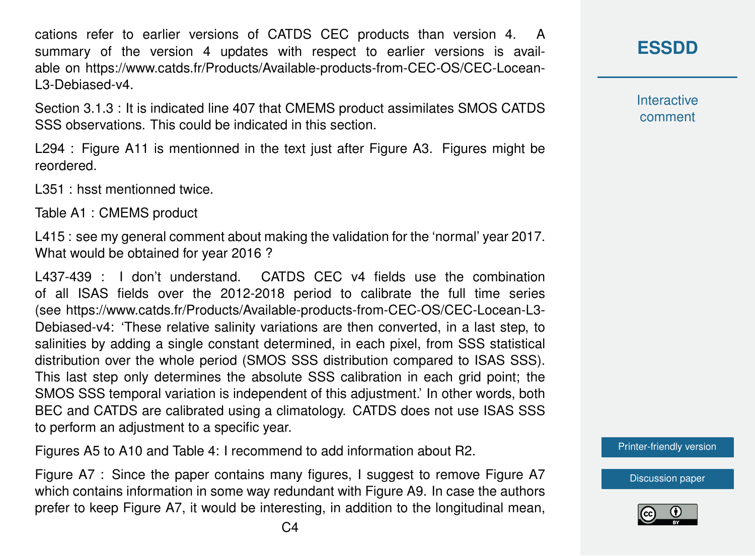cations refer to earlier versions of CATDS CEC products than version 4. A summary of the version 4 updates with respect to earlier versions is available on https://www.catds.fr/Products/Available-products-from-CEC-OS/CEC-Locean-L3-Debiased-v4.

Section 3.1.3 : It is indicated line 407 that CMEMS product assimilates SMOS CATDS SSS observations. This could be indicated in this section.

L294 : Figure A11 is mentionned in the text just after Figure A3. Figures might be reordered.

L351 : hsst mentionned twice.

Table A1 : CMEMS product

L415 : see my general comment about making the validation for the 'normal' year 2017. What would be obtained for year 2016 ?

L437-439 : I don't understand. CATDS CEC v4 fields use the combination of all ISAS fields over the 2012-2018 period to calibrate the full time series (see https://www.catds.fr/Products/Available-products-from-CEC-OS/CEC-Locean-L3- Debiased-v4: 'These relative salinity variations are then converted, in a last step, to salinities by adding a single constant determined, in each pixel, from SSS statistical distribution over the whole period (SMOS SSS distribution compared to ISAS SSS). This last step only determines the absolute SSS calibration in each grid point; the SMOS SSS temporal variation is independent of this adjustment.' In other words, both BEC and CATDS are calibrated using a climatology. CATDS does not use ISAS SSS to perform an adjustment to a specific year.

Figures A5 to A10 and Table 4: I recommend to add information about R2.

Figure A7 : Since the paper contains many figures, I suggest to remove Figure A7 which contains information in some way redundant with Figure A9. In case the authors prefer to keep Figure A7, it would be interesting, in addition to the longitudinal mean, **Interactive** comment

[Printer-friendly version](https://essd.copernicus.org/preprints/essd-2020-232/essd-2020-232-RC2-print.pdf)

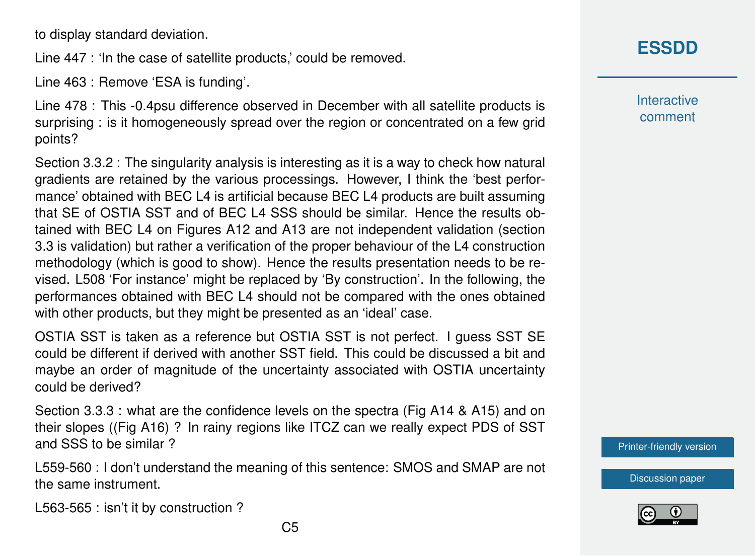to display standard deviation.

Line 447 : 'In the case of satellite products,' could be removed.

Line 463 : Remove 'ESA is funding'.

Line 478 : This -0.4psu difference observed in December with all satellite products is surprising : is it homogeneously spread over the region or concentrated on a few grid points?

Section 3.3.2 : The singularity analysis is interesting as it is a way to check how natural gradients are retained by the various processings. However, I think the 'best performance' obtained with BEC L4 is artificial because BEC L4 products are built assuming that SE of OSTIA SST and of BEC L4 SSS should be similar. Hence the results obtained with BEC L4 on Figures A12 and A13 are not independent validation (section 3.3 is validation) but rather a verification of the proper behaviour of the L4 construction methodology (which is good to show). Hence the results presentation needs to be revised. L508 'For instance' might be replaced by 'By construction'. In the following, the performances obtained with BEC L4 should not be compared with the ones obtained with other products, but they might be presented as an 'ideal' case.

OSTIA SST is taken as a reference but OSTIA SST is not perfect. I guess SST SE could be different if derived with another SST field. This could be discussed a bit and maybe an order of magnitude of the uncertainty associated with OSTIA uncertainty could be derived?

Section 3.3.3 : what are the confidence levels on the spectra (Fig A14 & A15) and on their slopes ((Fig A16) ? In rainy regions like ITCZ can we really expect PDS of SST and SSS to be similar ?

L559-560 : I don't understand the meaning of this sentence: SMOS and SMAP are not the same instrument.

L563-565 : isn't it by construction ?

**Interactive** comment

[Printer-friendly version](https://essd.copernicus.org/preprints/essd-2020-232/essd-2020-232-RC2-print.pdf)